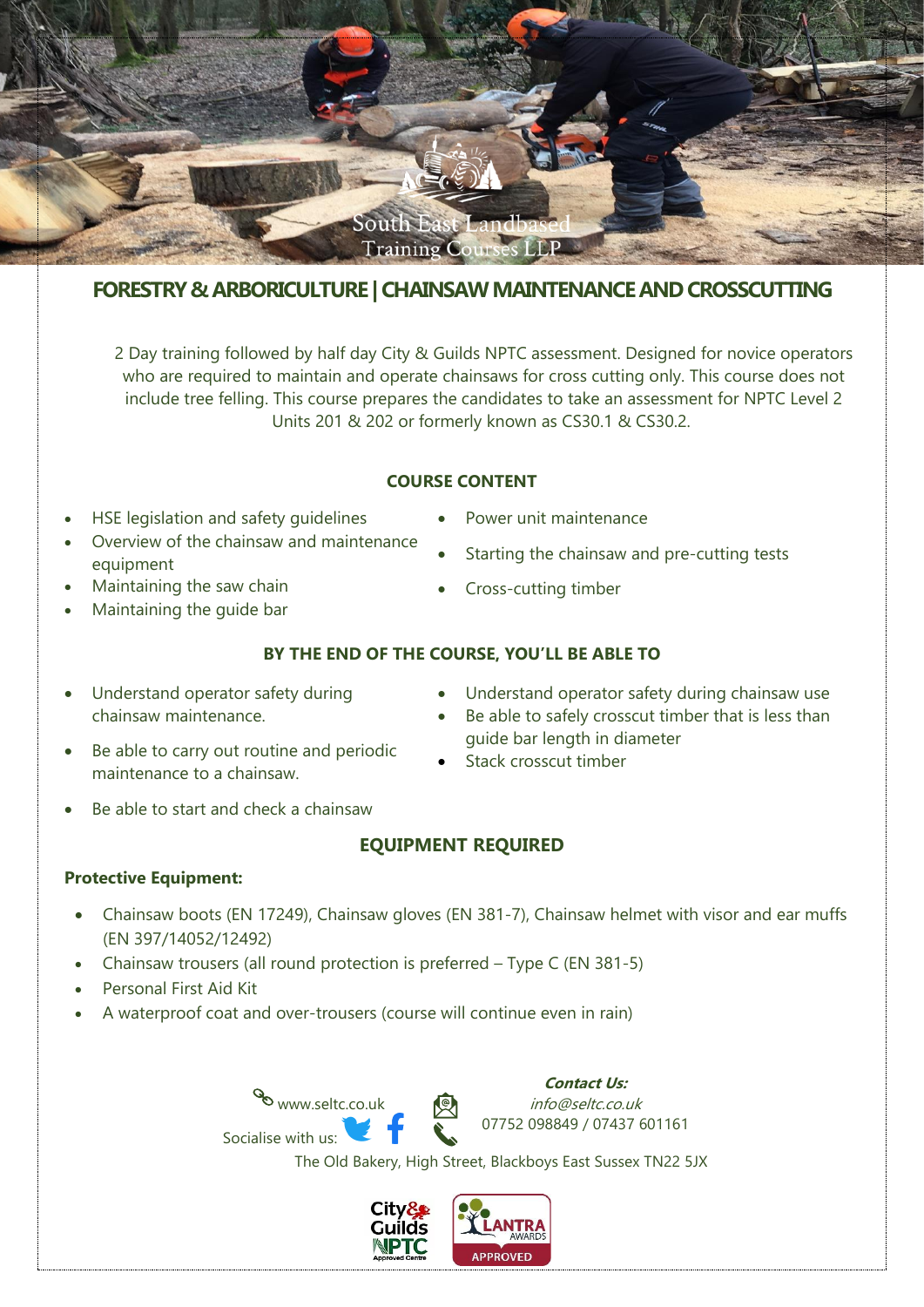

# **FORESTRY & ARBORICULTURE | CHAINSAW MAINTENANCE AND CROSSCUTTING**

2 Day training followed by half day City & Guilds NPTC assessment. Designed for novice operators who are required to maintain and operate chainsaws for cross cutting only. This course does not include tree felling. This course prepares the candidates to take an assessment for NPTC Level 2 Units 201 & 202 or formerly known as CS30.1 & CS30.2.

### **COURSE CONTENT**

- HSE legislation and safety guidelines
- Overview of the chainsaw and maintenance equipment
- Maintaining the saw chain
- Maintaining the guide bar

chainsaw maintenance.

maintenance to a chainsaw.

Starting the chainsaw and pre-cutting tests

Power unit maintenance

• Cross-cutting timber

## **BY THE END OF THE COURSE, YOU'LL BE ABLE TO**

- Understand operator safety during chainsaw use
- Be able to safely crosscut timber that is less than guide bar length in diameter
- Stack crosscut timber
- Be able to start and check a chainsaw

Understand operator safety during

Be able to carry out routine and periodic

# **EQUIPMENT REQUIRED**

## **Protective Equipment:**

- Chainsaw boots (EN 17249), Chainsaw gloves (EN 381-7), Chainsaw helmet with visor and ear muffs (EN 397/14052/12492)
- Chainsaw trousers (all round protection is preferred Type C (EN 381-5)
- Personal First Aid Kit
- A waterproof coat and over-trousers (course will continue even in rain)

www.seltc.co.uk Socialise with us:

**Contact Us:** info@seltc.co.uk 07752 098849 / 07437 601161

The Old Bakery, High Street, Blackboys East Sussex TN22 5JX